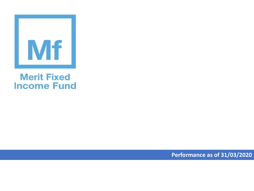

## **Merit Fixed Income Fund**

**Performance as of 31/03/2020**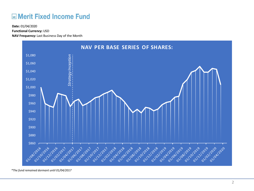## **ME Merit Fixed Income Fund**

**Functional Currency:** USD

**NAV Frequency:** Last Business Day of the Month